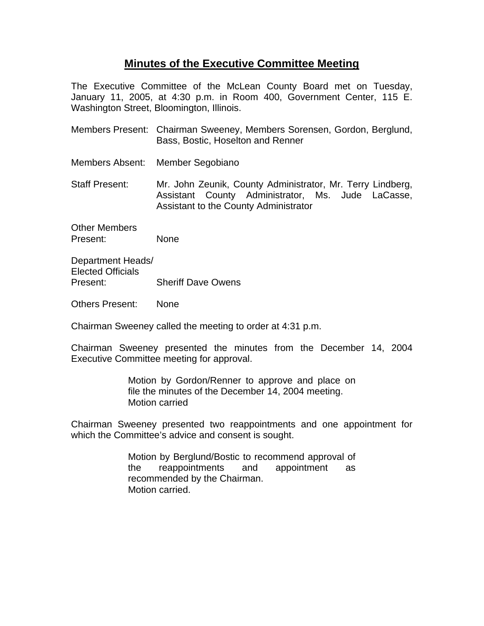## **Minutes of the Executive Committee Meeting**

The Executive Committee of the McLean County Board met on Tuesday, January 11, 2005, at 4:30 p.m. in Room 400, Government Center, 115 E. Washington Street, Bloomington, Illinois.

- Members Present: Chairman Sweeney, Members Sorensen, Gordon, Berglund, Bass, Bostic, Hoselton and Renner
- Members Absent: Member Segobiano

Staff Present: Mr. John Zeunik, County Administrator, Mr. Terry Lindberg, Assistant County Administrator, Ms. Jude LaCasse, Assistant to the County Administrator

Other Members Present: None

Department Heads/ Elected Officials Present: Sheriff Dave Owens

Others Present: None

Chairman Sweeney called the meeting to order at 4:31 p.m.

Chairman Sweeney presented the minutes from the December 14, 2004 Executive Committee meeting for approval.

> Motion by Gordon/Renner to approve and place on file the minutes of the December 14, 2004 meeting. Motion carried

Chairman Sweeney presented two reappointments and one appointment for which the Committee's advice and consent is sought.

> Motion by Berglund/Bostic to recommend approval of the reappointments and appointment as recommended by the Chairman. Motion carried.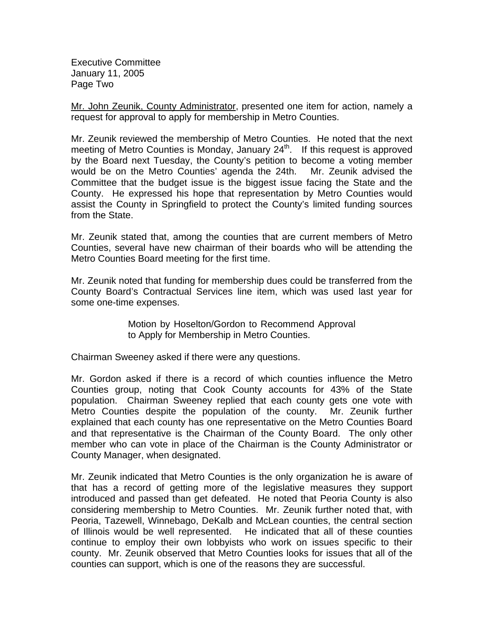Executive Committee January 11, 2005 Page Two

Mr. John Zeunik, County Administrator, presented one item for action, namely a request for approval to apply for membership in Metro Counties.

Mr. Zeunik reviewed the membership of Metro Counties. He noted that the next meeting of Metro Counties is Monday, January 24<sup>th</sup>. If this request is approved by the Board next Tuesday, the County's petition to become a voting member would be on the Metro Counties' agenda the 24th. Mr. Zeunik advised the Committee that the budget issue is the biggest issue facing the State and the County. He expressed his hope that representation by Metro Counties would assist the County in Springfield to protect the County's limited funding sources from the State.

Mr. Zeunik stated that, among the counties that are current members of Metro Counties, several have new chairman of their boards who will be attending the Metro Counties Board meeting for the first time.

Mr. Zeunik noted that funding for membership dues could be transferred from the County Board's Contractual Services line item, which was used last year for some one-time expenses.

> Motion by Hoselton/Gordon to Recommend Approval to Apply for Membership in Metro Counties.

Chairman Sweeney asked if there were any questions.

Mr. Gordon asked if there is a record of which counties influence the Metro Counties group, noting that Cook County accounts for 43% of the State population. Chairman Sweeney replied that each county gets one vote with Metro Counties despite the population of the county. Mr. Zeunik further explained that each county has one representative on the Metro Counties Board and that representative is the Chairman of the County Board. The only other member who can vote in place of the Chairman is the County Administrator or County Manager, when designated.

Mr. Zeunik indicated that Metro Counties is the only organization he is aware of that has a record of getting more of the legislative measures they support introduced and passed than get defeated. He noted that Peoria County is also considering membership to Metro Counties. Mr. Zeunik further noted that, with Peoria, Tazewell, Winnebago, DeKalb and McLean counties, the central section of Illinois would be well represented. He indicated that all of these counties continue to employ their own lobbyists who work on issues specific to their county. Mr. Zeunik observed that Metro Counties looks for issues that all of the counties can support, which is one of the reasons they are successful.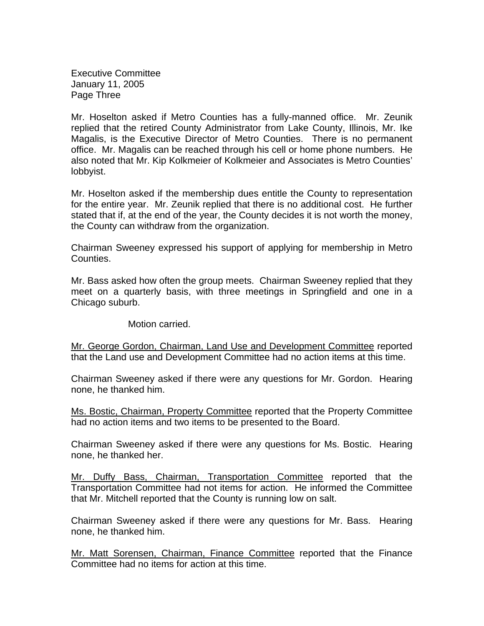Executive Committee January 11, 2005 Page Three

Mr. Hoselton asked if Metro Counties has a fully-manned office. Mr. Zeunik replied that the retired County Administrator from Lake County, Illinois, Mr. Ike Magalis, is the Executive Director of Metro Counties. There is no permanent office. Mr. Magalis can be reached through his cell or home phone numbers. He also noted that Mr. Kip Kolkmeier of Kolkmeier and Associates is Metro Counties' lobbyist.

Mr. Hoselton asked if the membership dues entitle the County to representation for the entire year. Mr. Zeunik replied that there is no additional cost. He further stated that if, at the end of the year, the County decides it is not worth the money, the County can withdraw from the organization.

Chairman Sweeney expressed his support of applying for membership in Metro Counties.

Mr. Bass asked how often the group meets. Chairman Sweeney replied that they meet on a quarterly basis, with three meetings in Springfield and one in a Chicago suburb.

Motion carried.

Mr. George Gordon, Chairman, Land Use and Development Committee reported that the Land use and Development Committee had no action items at this time.

Chairman Sweeney asked if there were any questions for Mr. Gordon. Hearing none, he thanked him.

Ms. Bostic, Chairman, Property Committee reported that the Property Committee had no action items and two items to be presented to the Board.

Chairman Sweeney asked if there were any questions for Ms. Bostic. Hearing none, he thanked her.

Mr. Duffy Bass, Chairman, Transportation Committee reported that the Transportation Committee had not items for action. He informed the Committee that Mr. Mitchell reported that the County is running low on salt.

Chairman Sweeney asked if there were any questions for Mr. Bass. Hearing none, he thanked him.

Mr. Matt Sorensen, Chairman, Finance Committee reported that the Finance Committee had no items for action at this time.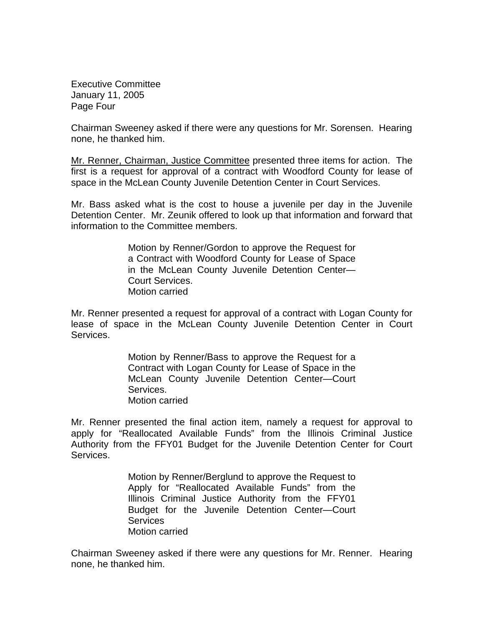Executive Committee January 11, 2005 Page Four

Chairman Sweeney asked if there were any questions for Mr. Sorensen. Hearing none, he thanked him.

Mr. Renner, Chairman, Justice Committee presented three items for action. The first is a request for approval of a contract with Woodford County for lease of space in the McLean County Juvenile Detention Center in Court Services.

Mr. Bass asked what is the cost to house a juvenile per day in the Juvenile Detention Center. Mr. Zeunik offered to look up that information and forward that information to the Committee members.

> Motion by Renner/Gordon to approve the Request for a Contract with Woodford County for Lease of Space in the McLean County Juvenile Detention Center— Court Services. Motion carried

Mr. Renner presented a request for approval of a contract with Logan County for lease of space in the McLean County Juvenile Detention Center in Court Services.

> Motion by Renner/Bass to approve the Request for a Contract with Logan County for Lease of Space in the McLean County Juvenile Detention Center—Court Services. Motion carried

Mr. Renner presented the final action item, namely a request for approval to apply for "Reallocated Available Funds" from the Illinois Criminal Justice Authority from the FFY01 Budget for the Juvenile Detention Center for Court Services.

> Motion by Renner/Berglund to approve the Request to Apply for "Reallocated Available Funds" from the Illinois Criminal Justice Authority from the FFY01 Budget for the Juvenile Detention Center—Court **Services** Motion carried

Chairman Sweeney asked if there were any questions for Mr. Renner. Hearing none, he thanked him.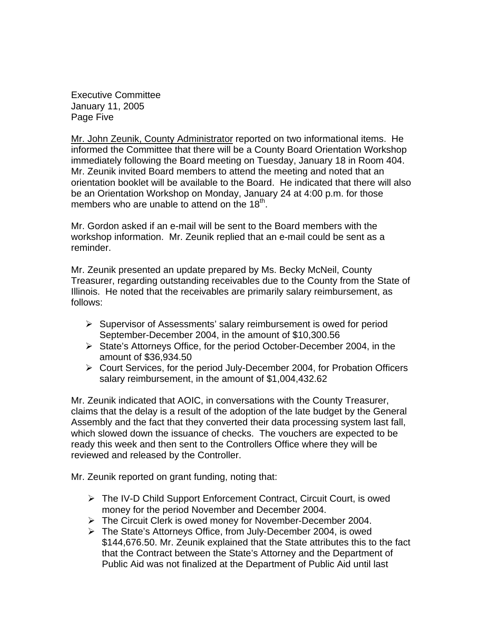Executive Committee January 11, 2005 Page Five

Mr. John Zeunik, County Administrator reported on two informational items. He informed the Committee that there will be a County Board Orientation Workshop immediately following the Board meeting on Tuesday, January 18 in Room 404. Mr. Zeunik invited Board members to attend the meeting and noted that an orientation booklet will be available to the Board. He indicated that there will also be an Orientation Workshop on Monday, January 24 at 4:00 p.m. for those members who are unable to attend on the  $18<sup>th</sup>$ .

Mr. Gordon asked if an e-mail will be sent to the Board members with the workshop information. Mr. Zeunik replied that an e-mail could be sent as a reminder.

Mr. Zeunik presented an update prepared by Ms. Becky McNeil, County Treasurer, regarding outstanding receivables due to the County from the State of Illinois. He noted that the receivables are primarily salary reimbursement, as follows:

- $\triangleright$  Supervisor of Assessments' salary reimbursement is owed for period September-December 2004, in the amount of \$10,300.56
- ¾ State's Attorneys Office, for the period October-December 2004, in the amount of \$36,934.50
- ¾ Court Services, for the period July-December 2004, for Probation Officers salary reimbursement, in the amount of \$1,004,432.62

Mr. Zeunik indicated that AOIC, in conversations with the County Treasurer, claims that the delay is a result of the adoption of the late budget by the General Assembly and the fact that they converted their data processing system last fall, which slowed down the issuance of checks. The vouchers are expected to be ready this week and then sent to the Controllers Office where they will be reviewed and released by the Controller.

Mr. Zeunik reported on grant funding, noting that:

- $\triangleright$  The IV-D Child Support Enforcement Contract, Circuit Court, is owed money for the period November and December 2004.
- ¾ The Circuit Clerk is owed money for November-December 2004.
- ¾ The State's Attorneys Office, from July-December 2004, is owed \$144,676.50. Mr. Zeunik explained that the State attributes this to the fact that the Contract between the State's Attorney and the Department of Public Aid was not finalized at the Department of Public Aid until last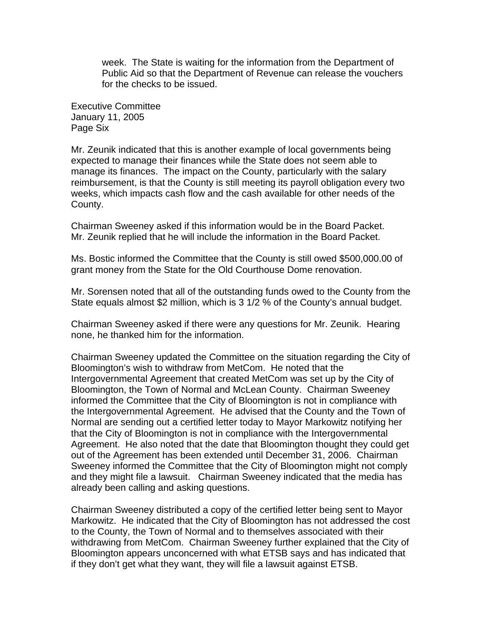week. The State is waiting for the information from the Department of Public Aid so that the Department of Revenue can release the vouchers for the checks to be issued.

Executive Committee January 11, 2005 Page Six

Mr. Zeunik indicated that this is another example of local governments being expected to manage their finances while the State does not seem able to manage its finances. The impact on the County, particularly with the salary reimbursement, is that the County is still meeting its payroll obligation every two weeks, which impacts cash flow and the cash available for other needs of the County.

Chairman Sweeney asked if this information would be in the Board Packet. Mr. Zeunik replied that he will include the information in the Board Packet.

Ms. Bostic informed the Committee that the County is still owed \$500,000.00 of grant money from the State for the Old Courthouse Dome renovation.

Mr. Sorensen noted that all of the outstanding funds owed to the County from the State equals almost \$2 million, which is 3 1/2 % of the County's annual budget.

Chairman Sweeney asked if there were any questions for Mr. Zeunik. Hearing none, he thanked him for the information.

Chairman Sweeney updated the Committee on the situation regarding the City of Bloomington's wish to withdraw from MetCom. He noted that the Intergovernmental Agreement that created MetCom was set up by the City of Bloomington, the Town of Normal and McLean County. Chairman Sweeney informed the Committee that the City of Bloomington is not in compliance with the Intergovernmental Agreement. He advised that the County and the Town of Normal are sending out a certified letter today to Mayor Markowitz notifying her that the City of Bloomington is not in compliance with the Intergovernmental Agreement. He also noted that the date that Bloomington thought they could get out of the Agreement has been extended until December 31, 2006. Chairman Sweeney informed the Committee that the City of Bloomington might not comply and they might file a lawsuit. Chairman Sweeney indicated that the media has already been calling and asking questions.

Chairman Sweeney distributed a copy of the certified letter being sent to Mayor Markowitz. He indicated that the City of Bloomington has not addressed the cost to the County, the Town of Normal and to themselves associated with their withdrawing from MetCom. Chairman Sweeney further explained that the City of Bloomington appears unconcerned with what ETSB says and has indicated that if they don't get what they want, they will file a lawsuit against ETSB.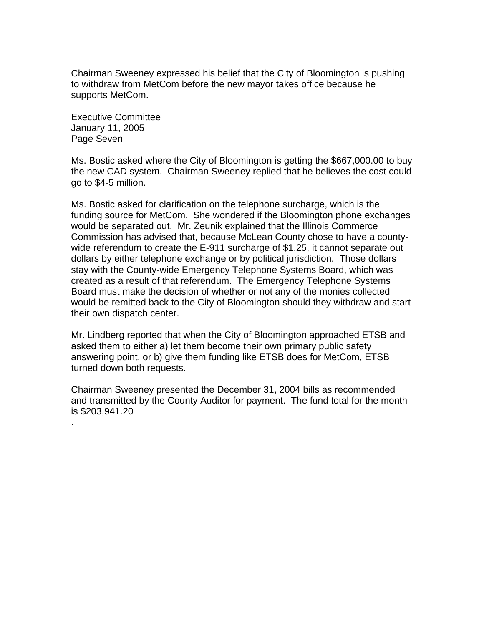Chairman Sweeney expressed his belief that the City of Bloomington is pushing to withdraw from MetCom before the new mayor takes office because he supports MetCom.

Executive Committee January 11, 2005 Page Seven

.

Ms. Bostic asked where the City of Bloomington is getting the \$667,000.00 to buy the new CAD system. Chairman Sweeney replied that he believes the cost could go to \$4-5 million.

Ms. Bostic asked for clarification on the telephone surcharge, which is the funding source for MetCom. She wondered if the Bloomington phone exchanges would be separated out. Mr. Zeunik explained that the Illinois Commerce Commission has advised that, because McLean County chose to have a countywide referendum to create the E-911 surcharge of \$1.25, it cannot separate out dollars by either telephone exchange or by political jurisdiction. Those dollars stay with the County-wide Emergency Telephone Systems Board, which was created as a result of that referendum. The Emergency Telephone Systems Board must make the decision of whether or not any of the monies collected would be remitted back to the City of Bloomington should they withdraw and start their own dispatch center.

Mr. Lindberg reported that when the City of Bloomington approached ETSB and asked them to either a) let them become their own primary public safety answering point, or b) give them funding like ETSB does for MetCom, ETSB turned down both requests.

Chairman Sweeney presented the December 31, 2004 bills as recommended and transmitted by the County Auditor for payment. The fund total for the month is \$203,941.20